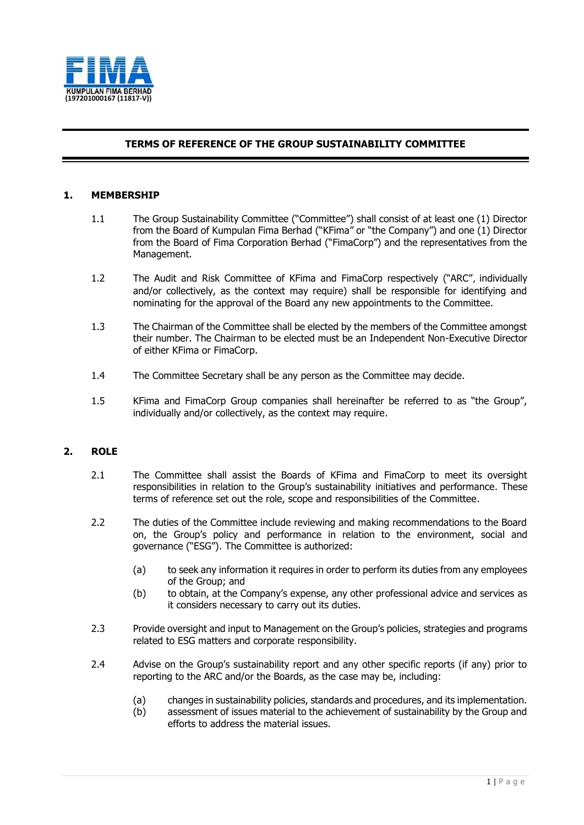

## **TERMS OF REFERENCE OF THE GROUP SUSTAINABILITY COMMITTEE**

### **1. MEMBERSHIP**

- 1.1 The Group Sustainability Committee ("Committee") shall consist of at least one (1) Director from the Board of Kumpulan Fima Berhad ("KFima" or "the Company") and one (1) Director from the Board of Fima Corporation Berhad ("FimaCorp") and the representatives from the Management.
- 1.2 The Audit and Risk Committee of KFima and FimaCorp respectively ("ARC", individually and/or collectively, as the context may require) shall be responsible for identifying and nominating for the approval of the Board any new appointments to the Committee.
- 1.3 The Chairman of the Committee shall be elected by the members of the Committee amongst their number. The Chairman to be elected must be an Independent Non-Executive Director of either KFima or FimaCorp.
- 1.4 The Committee Secretary shall be any person as the Committee may decide.
- 1.5 KFima and FimaCorp Group companies shall hereinafter be referred to as "the Group", individually and/or collectively, as the context may require.

## **2. ROLE**

- 2.1 The Committee shall assist the Boards of KFima and FimaCorp to meet its oversight responsibilities in relation to the Group's sustainability initiatives and performance. These terms of reference set out the role, scope and responsibilities of the Committee.
- 2.2 The duties of the Committee include reviewing and making recommendations to the Board on, the Group's policy and performance in relation to the environment, social and governance ("ESG"). The Committee is authorized:
	- (a) to seek any information it requires in order to perform its duties from any employees of the Group; and
	- (b) to obtain, at the Company's expense, any other professional advice and services as it considers necessary to carry out its duties.
- 2.3 Provide oversight and input to Management on the Group's policies, strategies and programs related to ESG matters and corporate responsibility.
- 2.4 Advise on the Group's sustainability report and any other specific reports (if any) prior to reporting to the ARC and/or the Boards, as the case may be, including:
	- (a) changes in sustainability policies, standards and procedures, and its implementation.
	- (b) assessment of issues material to the achievement of sustainability by the Group and efforts to address the material issues.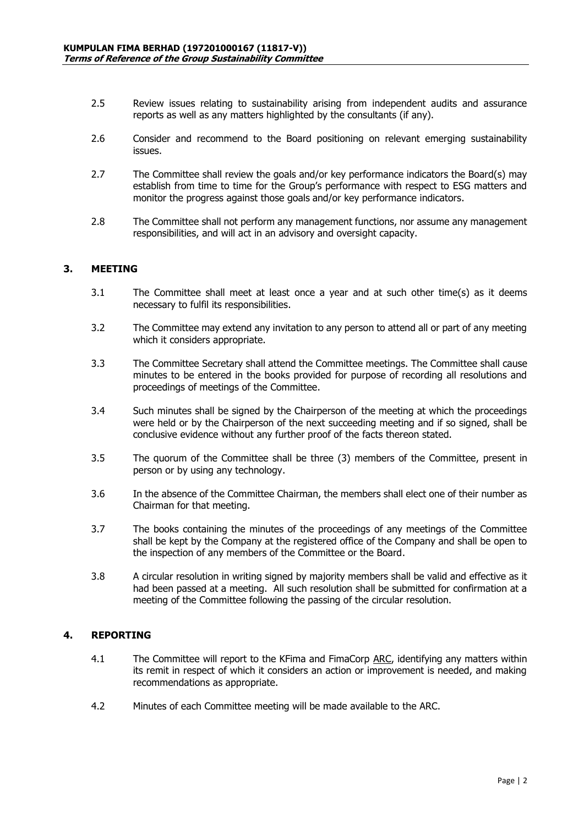- 2.5 Review issues relating to sustainability arising from independent audits and assurance reports as well as any matters highlighted by the consultants (if any).
- 2.6 Consider and recommend to the Board positioning on relevant emerging sustainability issues.
- 2.7 The Committee shall review the goals and/or key performance indicators the Board(s) may establish from time to time for the Group's performance with respect to ESG matters and monitor the progress against those goals and/or key performance indicators.
- 2.8 The Committee shall not perform any management functions, nor assume any management responsibilities, and will act in an advisory and oversight capacity.

#### **3. MEETING**

- 3.1 The Committee shall meet at least once a year and at such other time(s) as it deems necessary to fulfil its responsibilities.
- 3.2 The Committee may extend any invitation to any person to attend all or part of any meeting which it considers appropriate.
- 3.3 The Committee Secretary shall attend the Committee meetings. The Committee shall cause minutes to be entered in the books provided for purpose of recording all resolutions and proceedings of meetings of the Committee.
- 3.4 Such minutes shall be signed by the Chairperson of the meeting at which the proceedings were held or by the Chairperson of the next succeeding meeting and if so signed, shall be conclusive evidence without any further proof of the facts thereon stated.
- 3.5 The quorum of the Committee shall be three (3) members of the Committee, present in person or by using any technology.
- 3.6 In the absence of the Committee Chairman, the members shall elect one of their number as Chairman for that meeting.
- 3.7 The books containing the minutes of the proceedings of any meetings of the Committee shall be kept by the Company at the registered office of the Company and shall be open to the inspection of any members of the Committee or the Board.
- 3.8 A circular resolution in writing signed by majority members shall be valid and effective as it had been passed at a meeting. All such resolution shall be submitted for confirmation at a meeting of the Committee following the passing of the circular resolution.

## **4. REPORTING**

- 4.1 The Committee will report to the KFima and FimaCorp ARC, identifying any matters within its remit in respect of which it considers an action or improvement is needed, and making recommendations as appropriate.
- 4.2 Minutes of each Committee meeting will be made available to the ARC.